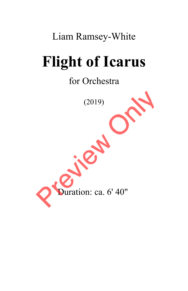# **Flight of Icarus**

Liam Ramsey-White

for Orchestra

 $(2019)$ 

uration: ca. 6' 40"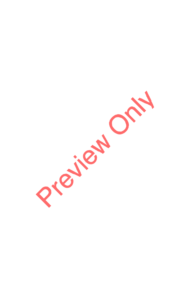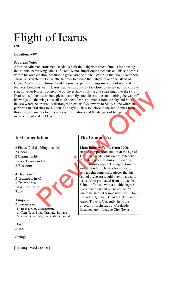[Transposed score]

## Flight of Icarus  $(2019)$

#### **Duration:** 6'40"

#### **Program Note:**

After the Athenian craftsman Daedalus built the Labyrinth (most famous for housing the Minotaur) for King Minos of Crete, Minos imprisoned Daedalus and his son Icarus within his own creation because he gave Ariadne the ball of string that would later help Theseus navigate the Labyrinth. In order to escape the Labryinth and the island of Crete, Daedalus built himself and his son two pairs of wings made out of wax and feathers. Daedalus warns Icarus that he most not fly too close to the sea nor too close to sun, however Icarus is overcome by the ecstasy of flying and soars high into the sky. Deaf to his father's desperate pleas, Icarus flys too close to the sun, melting the wax off his wings. As the wings lose all its feathers, Icarus pluments from the sky and falls into the sea where he drowns. A distraught Daedalus flys onward to Sicily alone where he performs funeral rites for his son.The saying "flew too close to the sun" comes from this story, a reminder to remember our limitations and the dangers of being overconfident and reckless.

> **Liam Ramsey-White** (born 1996) started composition studies at the age of 12 when asked by his orchestra teacher to write a piece of music in lieu of a music history paper. Throughout middle and high school, he has been mostly self-taught, composing pieces that his school orchestra would play on a yearly basis. Liam graduated from the Jacobs School of Music with a double degree in composition and music education where he studied composition with Don Freund, P. Q. Phan, Claude Baker, and Aaron Travers. Currently, he is the director of orchestras at Creekside Intermediate in League City, Texas.

## **Instrumentation**:

- 2 Flutes (2nd doubling piccolo)
- 2 Oboes
- 2 Clarinet in Bb
- Bass Clarinet in Bb
- 2 Bassoons

4 Horns in F 3 Trumpets in C 2 Trombones Bass Trombone Tuba

Timpani 3 Percussion 1 : Bass Drum, Glockenspiel 2 : Tam-Tam, Small Triangle, Bongos 3 : Crash Cymbals, Suspended Cymbal Harp Piano Strings

## **The Composer:**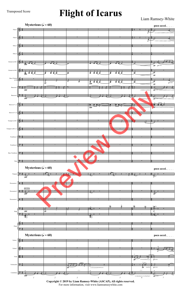#### Transposed Score



Liam Ramsey-White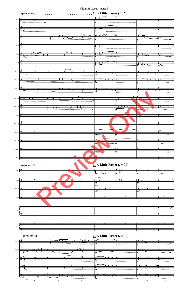Hp.  $\frac{2}{4}$   $\frac{2}{9}$   $\frac{4}{4}$  $\frac{2}{7}$  .  $\mathcal{C}$   $\mathcal{C}$   $\mathcal{C}$   $\mathcal{C}$   $\mathcal{C}$   $\mathcal{C}$   $\mathcal{C}$   $\mathcal{C}$   $\mathcal{C}$   $\mathcal{C}$   $\mathcal{C}$   $\mathcal{C}$   $\mathcal{C}$   $\mathcal{C}$   $\mathcal{C}$   $\mathcal{C}$   $\mathcal{C}$   $\mathcal{C}$   $\mathcal{C}$   $\mathcal{C}$   $\mathcal{C}$   $\mathcal{C}$   $\mathcal{C}$   $\mathcal{C}$   $\mathcal{$ 



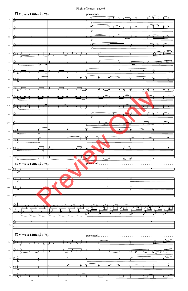

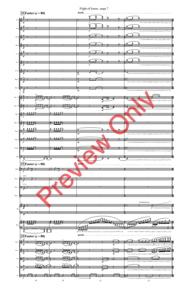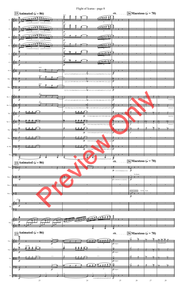

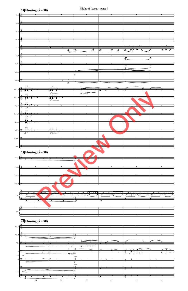Pno.





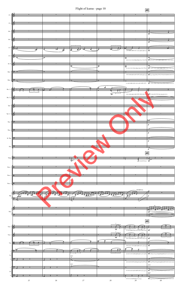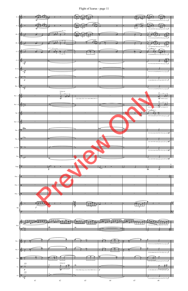Flight of Icarus - page 11



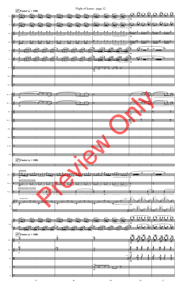*47 48 49 50 51*



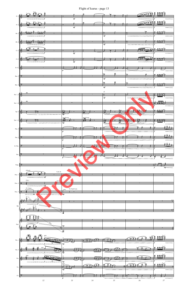![](_page_12_Figure_1.jpeg)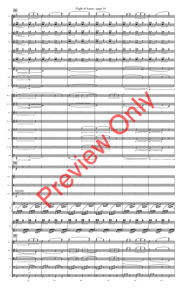![](_page_13_Figure_0.jpeg)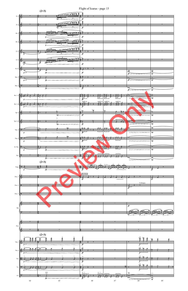![](_page_14_Figure_1.jpeg)

![](_page_14_Figure_0.jpeg)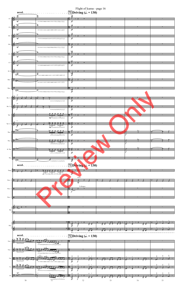![](_page_15_Figure_0.jpeg)

![](_page_15_Figure_1.jpeg)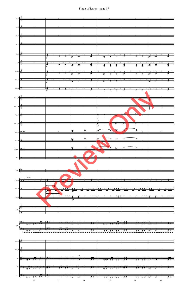![](_page_16_Figure_1.jpeg)

![](_page_16_Figure_2.jpeg)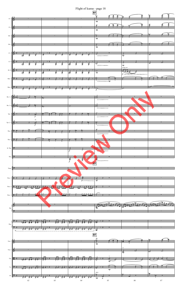![](_page_17_Figure_1.jpeg)

![](_page_17_Figure_2.jpeg)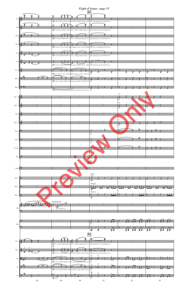![](_page_18_Figure_1.jpeg)

![](_page_18_Figure_2.jpeg)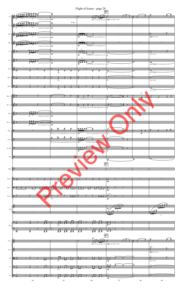![](_page_19_Figure_0.jpeg)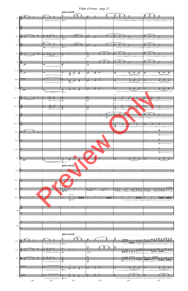Hp.

 $F1.1$  $\theta$ <sup>o</sup>  $\theta$ <sup>o</sup> <mark>≠</mark><br>∫ Perc. 3  $\frac{H}{\sqrt{1-\frac{1}{2}}}\left\{\frac{1}{2}, \frac{1}{2}, \frac{1}{2}\right\}$ Fl. 2 Ob.  $1$ Ob. 2 Cl. 1 Cl. 2 $\mathbb{Z}$  $B.$  Cl.  $B$ sn. 1  $\rightarrow$   $\rightarrow$   $\rightarrow$   $\rightarrow$ Bsn.  $2 \mathbf{2}$ Hn. 1,  $2\sqrt{2}$ Hn. 3, 4 $\mathbb{R}$ Tpt. 1 Tpt. 2, 3 Tbn. 1 $\mathbb{P}$ Tbn.  $2$  $B.$  Tbn.  $\boxed{2}$ Tba.  $\boxed{2}$ Timp.  $\boxed{2}$ Perc.  $1 \quad \boxed{\text{H}}$ Perc. 2 **poco accel.**<br> **p**<sub>*a*</sub>:  $\frac{p}{p}$ <br> **pf** *cresc.* mf*cresc.* mp mf*cresc.* f  $\int$  mf  $\begin{array}{c} \hline \text{if } f \\ \hline \end{array}$ f mf*cresc.* part<br>f mfcresc mf*cresc.*  $p \longrightarrow p$  fp  $\Box$  $p \longrightarrow f$  fp  $\qquad \qquad$  figures  $\qquad$  figures  $\qquad \qquad$  figures  $\qquad$  figures  $\qquad \qquad$  figures  $\qquad$  figures  $\qquad$  figures  $\qquad$  figures  $\qquad$  figures  $\qquad$  figures  $\qquad$  figures  $\qquad$  figures  $\qquad$  figures  $\qquad$  figures  $\qquad$   $mf$  and  $f$  and  $f$  and  $f$  and  $f$  and  $f$  and  $f$  and  $f$  and  $f$  and  $f$  and  $f$  and  $f$  and  $f$  and  $f$  and  $f$  and  $f$  and  $f$  and  $f$  and  $f$  and  $f$  and  $f$  and  $f$  and  $f$  and  $f$  and  $f$  and  $f$  and  $f$  and  $f$  a  $\overrightarrow{m}$  $mp \longrightarrow$ mp mp mp*cresc.* **poco accel.** mp*cresc.* mp*cresc.*  $\begin{array}{c} \bullet \end{array}$   $\begin{array}{c} \bullet \end{array}$   $\begin{array}{c} \bullet \end{array}$   $\begin{array}{c} \bullet \end{array}$ & ∑ ∑ ∑ ∑ ∑ ∑  $\bullet$   $\bullet$   $\bullet$   $\bullet$   $\bullet$  $\&$   $\qquad$  $\oint$  be a set of  $\oint$  $\ddot{\text{o}}$  $\ddot{\text{o}}$  $\ddot{\textbf{a}}$  : the contract of  $\ddot{\textbf{a}}$ **6** boy of the t a2  $\&$   $\qquad \qquad$ a2 & ∑ ∑ ∑ & ∑ ∑ ∑ ∑ 3. ? ∑ ∑ ∑ ∑ ? ∑ ∑ ∑ ∑ ∑ ? ∑ ∑ ∑ ∑ ∑  $\Theta$ : ? ∑ ∑ ∑ ∑ ∑ ∑ / ∑ ∑ ∑ ∑ ∑ ∑ <u>|⊞</u> ∑ ∑ (Bongos) ∑ ∑ (S.Cym.) & ∑ ∑ ∑ ∑ ∑ ∑  $b$   $e$   $\frac{b}{r}$   $\frac{b}{r}$   $\frac{b}{r}$   $\frac{b}{r}$   $\frac{b}{r}$   $\frac{b}{r}$   $\frac{b}{r}$ be  $\rho$  =  $\rho$   $\frac{p}{r}$   $\frac{p}{r}$   $\frac{p}{r}$   $\frac{p}{r}$   $\frac{p}{r}$ be  $\overline{W}$   $\overline{F}$   $\overline{F}$   $\overline{F}$  $\overrightarrow{p}$  $\overrightarrow{p}$  $\sum_{i=1}^{n}$  $\overrightarrow{v}$   $\overrightarrow{v}$   $\overrightarrow{v}$   $\overrightarrow{v}$   $\overrightarrow{v}$   $\overrightarrow{v}$   $\overrightarrow{v}$   $\overrightarrow{v}$   $\overrightarrow{v}$   $\overrightarrow{v}$   $\overrightarrow{v}$   $\overrightarrow{v}$   $\overrightarrow{v}$   $\overrightarrow{v}$   $\overrightarrow{v}$   $\overrightarrow{v}$   $\overrightarrow{v}$   $\overrightarrow{v}$   $\overrightarrow{v}$   $\overrightarrow{v}$   $\overrightarrow{v}$   $\overrightarrow{v}$   $\overrightarrow{v}$   $\overrightarrow{v}$   $\overrightarrow{$ bæ. p i lære be be  $\overline{w}$  and  $\overline{w}$  are  $\overline{w}$  $\overrightarrow{b}$  be be  $\overrightarrow{b}$ be e comment de la personne be  $\frac{1}{\sqrt{2}}$  or  $\frac{1}{\sqrt{2}}$  or  $\frac{1}{\sqrt{2}}$ be en be be be en  $\phi$ <sub>be</sub>  $\phi$  **be**  $\gamma$  **i**  $\mathcal{R}$   $\mathcal{R}$   $\mathcal{R}$   $\mathcal{R}$   $\mathcal{R}$   $\mathcal{R}$   $\mathcal{R}$   $\mathcal{R}$   $\mathcal{R}$   $\mathcal{R}$   $\mathcal{R}$   $\mathcal{R}$   $\mathcal{R}$   $\mathcal{R}$   $\mathcal{R}$   $\mathcal{R}$   $\mathcal{R}$   $\mathcal{R}$   $\mathcal{R}$   $\mathcal{R}$   $\mathcal{R}$   $\mathcal{R}$   $\mathcal{R}$   $\mathcal{R}$   $\mathcal{$ w™ bw™ nœ  $\mathcal{L} \mathbf{r} = \mathbf{r} \cdot \mathbf{r} \cdot \mathbf{r} \cdot \mathbf{r} \cdot \mathbf{r} \cdot \mathbf{r} \cdot \mathbf{r} \cdot \mathbf{r} \cdot \mathbf{r} \cdot \mathbf{r} \cdot \mathbf{r} \cdot \mathbf{r} \cdot \mathbf{r} \cdot \mathbf{r} \cdot \mathbf{r} \cdot \mathbf{r} \cdot \mathbf{r} \cdot \mathbf{r} \cdot \mathbf{r} \cdot \mathbf{r} \cdot \mathbf{r} \cdot \mathbf{r} \cdot \mathbf{r} \cdot \mathbf{r} \cdot \mathbf{r} \cdot \mathbf{r} \$ w™ w™ œ  $\frac{1}{2}$   $\frac{1}{2}$ œ™ bœ™ œ™ bœ™ bœ™ b˙™ n˙™ œ bœ œ b˙™ œ bœ œ  $w^2$  be  $y^2 + y^2$ be™ be™ be™ be™ be™ be™ e™ e™ e™ e™ e™ e™ e™ e™ e™ e™ e w™ b∞™ b∞™ b∞™ b∞™ b∞™ b∞™ b∞™ b∞™ b∞™ e∞ b∞∞ b∞∞ b∞∞ b∞∞ e∞ b∞∞ e∞ b∞∞ e∞ b∞∞ e∞ b∞∞ e∞ e∞ e∞ e∞ e b<u>i</u>  $z$   $\mathbb{C}$   $\mathbb{R}$   $\mathbb{R}$  $e \rightarrow e$ b ™  $\mathbb{R}$   $\mathbb{R}$  $^{\circ}$  $\frac{1}{\sqrt{2}}$  where  $\frac{1}{\sqrt{2}}$  $\mathbf{w}$  $\sum_{i=1}^{n}$  $\delta$  $\overline{\mathbf{o}}$ ™ <sup>œ</sup>™ <sup>œ</sup>™ bœ™ <sup>œ</sup>™ bœ™ bœ™ b˙™ ≹™ ⊵⊜  $\mathbb{C}^{\frac{1}{2}}$   $\frac{1}{2}$   $\frac{1}{2}$   $\frac{1}{2}$   $\frac{1}{2}$   $\frac{1}{2}$   $\frac{1}{2}$   $\frac{1}{2}$   $\frac{1}{2}$   $\frac{1}{2}$   $\frac{1}{2}$   $\frac{1}{2}$   $\frac{1}{2}$   $\frac{1}{2}$   $\frac{1}{2}$   $\frac{1}{2}$   $\frac{1}{2}$   $\frac{1}{2}$   $\frac{1}{2}$   $\frac{1}{2}$   $\frac{1}{2}$   $\frac{$  $\frac{1}{100}$  $\frac{1}{3}$ ™ <mark>e</mark> be be be be be be be be <sup>Ó</sup>™ <sup>Œ</sup>™ <sup>œ</sup>™ <sup>œ</sup> <sup>œ</sup> <sup>œ</sup> ˙™ #œ <sup>œ</sup> <sup>œ</sup> ˙™ <mark>u</mark> e™ be™ be™ be™ be™  $\frac{1}{\sqrt{2\pi}}$  $\overline{w}$  $\frac{b\rho}{\cdot}$ <u>w</u>™ bw™ bw™ a∞™ be™ be™ be™ be™ be™ be™ be™ end by be™ be™ end by be™ end by be™ end by and by an end by and by œ œ œ Œ™ Ó™ œ œ œ Œ™ ‰ œ œ œ™ œ œ œ ‰ œ œ ‰ œ œ œ œ œ œ œ œ ‰ œ **。。。** œ  $\left\{\begin{array}{ccc} \text{(S.Cym.)} & \times & \text{N} & \times \\ \hline \text{S} & \text{S} & \text{S} & \text{S} & \text{S} \\ \hline \end{array}\right.$ <sup>Œ</sup>™ ¿™ <sup>Œ</sup>™ ¿ ¿ ¿ <sup>Œ</sup>™ ¿™ ¿™ ¿ ¿ ¿ ¿™ ¿™ ¿ ¿ ¿ ¿ ¿ ¿

![](_page_20_Figure_2.jpeg)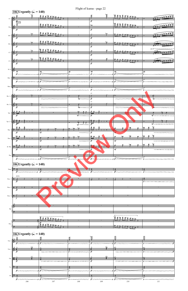![](_page_21_Figure_1.jpeg)

![](_page_21_Figure_0.jpeg)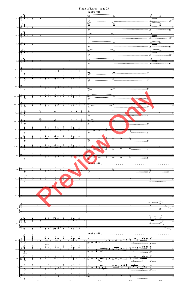![](_page_22_Figure_1.jpeg)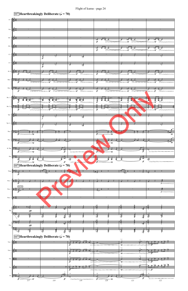![](_page_23_Figure_1.jpeg)

![](_page_23_Figure_2.jpeg)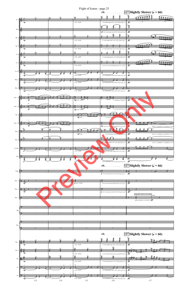![](_page_24_Figure_1.jpeg)

![](_page_24_Figure_0.jpeg)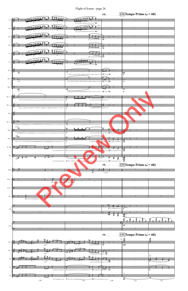![](_page_25_Figure_1.jpeg)

![](_page_25_Figure_2.jpeg)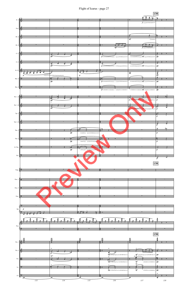![](_page_26_Figure_1.jpeg)